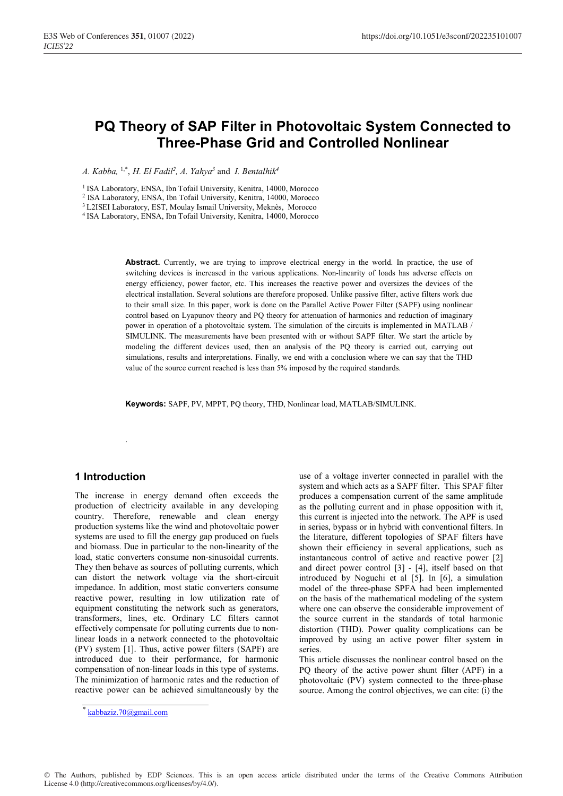# **PQ Theory of SAP Filter in Photovoltaic System Connected to Three-Phase Grid and Controlled Nonlinear**

*A. Kabba,* 1,\*, *H. El Fadil2 , A. Yahya3* and *I. Bentalhik4*

<sup>1</sup> ISA Laboratory, ENSA, Ibn Tofail University, Kenitra, 14000, Morocco

2 ISA Laboratory, ENSA, Ibn Tofail University, Kenitra, 14000, Morocco

3 L2ISEI Laboratory, EST, Moulay Ismail University, Meknès, Morocco

4 ISA Laboratory, ENSA, Ibn Tofail University, Kenitra, 14000, Morocco

Abstract. Currently, we are trying to improve electrical energy in the world. In practice, the use of switching devices is increased in the various applications. Non-linearity of loads has adverse effects on energy efficiency, power factor, etc. This increases the reactive power and oversizes the devices of the electrical installation. Several solutions are therefore proposed. Unlike passive filter, active filters work due to their small size. In this paper, work is done on the Parallel Active Power Filter (SAPF) using nonlinear control based on Lyapunov theory and PQ theory for attenuation of harmonics and reduction of imaginary power in operation of a photovoltaic system. The simulation of the circuits is implemented in MATLAB / SIMULINK. The measurements have been presented with or without SAPF filter. We start the article by modeling the different devices used, then an analysis of the PQ theory is carried out, carrying out simulations, results and interpretations. Finally, we end with a conclusion where we can say that the THD value of the source current reached is less than 5% imposed by the required standards.

**Keywords:** SAPF, PV, MPPT, PQ theory, THD, Nonlinear load, MATLAB/SIMULINK.

## **1 Introduction**

.

The increase in energy demand often exceeds the production of electricity available in any developing country. Therefore, renewable and clean energy production systems like the wind and photovoltaic power systems are used to fill the energy gap produced on fuels and biomass. Due in particular to the non-linearity of the load, static converters consume non-sinusoidal currents. They then behave as sources of polluting currents, which can distort the network voltage via the short-circuit impedance. In addition, most static converters consume reactive power, resulting in low utilization rate of equipment constituting the network such as generators, transformers, lines, etc. Ordinary LC filters cannot effectively compensate for polluting currents due to nonlinear loads in a network connected to the photovoltaic (PV) system [1]. Thus, active power filters (SAPF) are introduced due to their performance, for harmonic compensation of non-linear loads in this type of systems. The minimization of harmonic rates and the reduction of reactive power can be achieved simultaneously by the use of a voltage inverter connected in parallel with the system and which acts as a SAPF filter. This SPAF filter produces a compensation current of the same amplitude as the polluting current and in phase opposition with it, this current is injected into the network. The APF is used in series, bypass or in hybrid with conventional filters. In the literature, different topologies of SPAF filters have shown their efficiency in several applications, such as instantaneous control of active and reactive power [2] and direct power control [3] - [4], itself based on that introduced by Noguchi et al [5]. In [6], a simulation model of the three-phase SPFA had been implemented on the basis of the mathematical modeling of the system where one can observe the considerable improvement of the source current in the standards of total harmonic distortion (THD). Power quality complications can be improved by using an active power filter system in series.

This article discusses the nonlinear control based on the PQ theory of the active power shunt filter (APF) in a photovoltaic (PV) system connected to the three-phase source. Among the control objectives, we can cite: (i) the

© The Authors, published by EDP Sciences. This is an open access article distributed under the terms of the Creative Commons Attribution License 4.0 (http://creativecommons.org/licenses/by/4.0/).

 $k$ abbaziz.70@gmail.com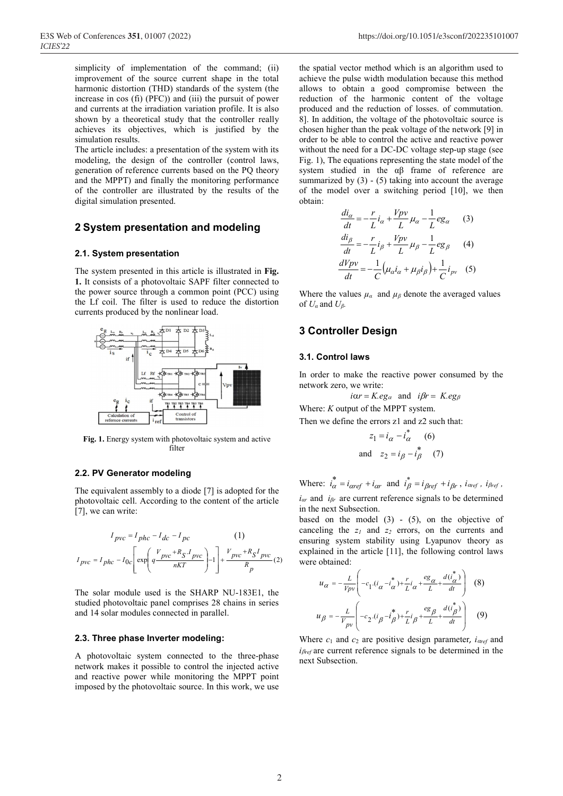simplicity of implementation of the command; (ii) improvement of the source current shape in the total harmonic distortion (THD) standards of the system (the increase in cos (fi) (PFC)) and (iii) the pursuit of power and currents at the irradiation variation profile. It is also shown by a theoretical study that the controller really achieves its objectives, which is justified by the simulation results.

The article includes: a presentation of the system with its modeling, the design of the controller (control laws, generation of reference currents based on the PQ theory and the MPPT) and finally the monitoring performance of the controller are illustrated by the results of the digital simulation presented.

# **2 System presentation and modeling**

#### **2.1. System presentation**

The system presented in this article is illustrated in **Fig. 1.** It consists of a photovoltaic SAPF filter connected to the power source through a common point (PCC) using the Lf coil. The filter is used to reduce the distortion currents produced by the nonlinear load.



**Fig. 1.** Energy system with photovoltaic system and active filter

#### **2.2. PV Generator modeling**

The equivalent assembly to a diode [7] is adopted for the photovoltaic cell. According to the content of the article [7], we can write:

$$
I_{pvc} = I_{phc} - I_{dc} - I_{pc}
$$
\n
$$
I_{pvc} = I_{phc} - I_{0c} \left[ \exp\left(\frac{V_{pvc} + R_S \cdot I_{pvc}}{nKT}\right) - 1 \right] + \frac{V_{pvc} + R_S I_{pvc}}{R_p} (2)
$$

The solar module used is the SHARP NU-183E1, the studied photovoltaic panel comprises 28 chains in series and 14 solar modules connected in parallel.

#### **2.3. Three phase Inverter modeling:**

A photovoltaic system connected to the three-phase network makes it possible to control the injected active and reactive power while monitoring the MPPT point imposed by the photovoltaic source. In this work, we use the spatial vector method which is an algorithm used to achieve the pulse width modulation because this method allows to obtain a good compromise between the reduction of the harmonic content of the voltage produced and the reduction of losses. of commutation. 8]. In addition, the voltage of the photovoltaic source is chosen higher than the peak voltage of the network [9] in order to be able to control the active and reactive power without the need for a DC-DC voltage step-up stage (see Fig. 1), The equations representing the state model of the system studied in the αβ frame of reference are summarized by  $(3)$  -  $(5)$  taking into account the average of the model over a switching period [10], we then obtain:

$$
\frac{di_{\alpha}}{dt} = -\frac{r}{L}i_{\alpha} + \frac{Vpv}{L}\mu_{\alpha} - \frac{1}{L}eg_{\alpha} \qquad (3)
$$
  

$$
\frac{di_{\beta}}{dt} = -\frac{r}{L}i_{\beta} + \frac{Vpv}{L}\mu_{\beta} - \frac{1}{L}eg_{\beta} \qquad (4)
$$
  

$$
\frac{dVpv}{dt} = -\frac{1}{C}(\mu_{\alpha}i_{\alpha} + \mu_{\beta}i_{\beta}) + \frac{1}{C}i_{pv} \qquad (5)
$$

Where the values  $\mu_{\alpha}$  and  $\mu_{\beta}$  denote the averaged values of  $U_a$  and  $U_b$ .

## **3 Controller Design**

#### **3.1. Control laws**

In order to make the reactive power consumed by the network zero, we write:

$$
icx = K
$$
.  $eg_\alpha$  and  $i\beta r = K$ .  $eg_\beta$ 

Where: *K* output of the MPPT system.

Then we define the errors z1 and z2 such that:

$$
z_1 = i_{\alpha} - i_{\alpha}^* \qquad (6)
$$
  
and 
$$
z_2 = i_{\beta} - i_{\beta}^* \qquad (7)
$$

Where:  $i_{\alpha}^* = i_{\alpha ref} + i_{\alpha r}$  and  $i_{\beta}^* = i_{\beta ref} + i_{\beta r}$ ,  $i_{\alpha ref}$ ,  $i_{\beta ref}$ , *iαr* and *iβr* are current reference signals to be determined in the next Subsection.

based on the model  $(3)$  -  $(5)$ , on the objective of canceling the  $z_1$  and  $z_2$  errors, on the currents and ensuring system stability using Lyapunov theory as explained in the article [11], the following control laws were obtained:

$$
u_{\alpha} = -\frac{L}{V_{pv}} \left( -c_1 \cdot (i_{\alpha} - i_{\alpha}^*) + \frac{r}{L} i_{\alpha} + \frac{eg_{\alpha}}{L} + \frac{d(i_{\alpha}^*)}{dt} \right) \tag{8}
$$
  

$$
u_{\beta} = -\frac{L}{V_{pv}} \left( -c_2 \cdot (i_{\beta} - i_{\beta}^*) + \frac{r}{L} i_{\beta} + \frac{eg_{\beta}}{L} + \frac{d(i_{\beta}^*)}{dt} \right) \tag{9}
$$

Where  $c_1$  and  $c_2$  are positive design parameter,  $i_{\alpha ref}$  and *iref* are current reference signals to be determined in the next Subsection.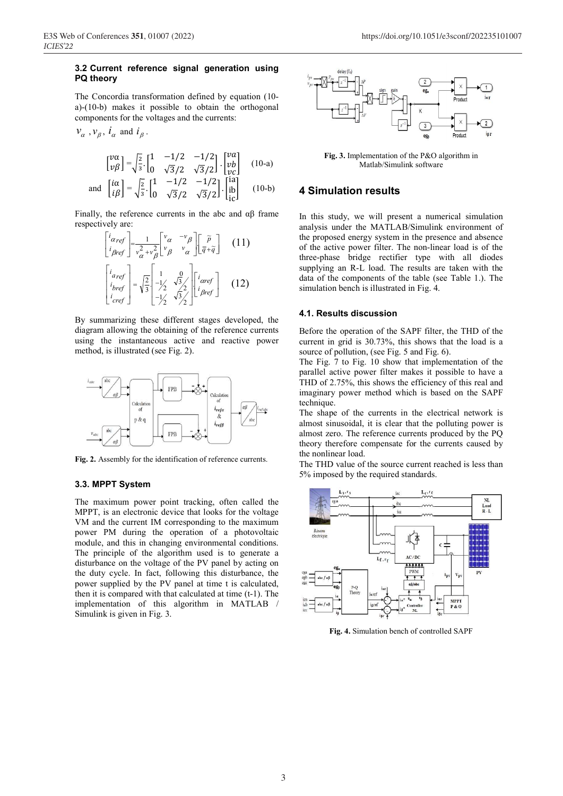## **3.2 Current reference signal generation using PQ theory**

The Concordia transformation defined by equation (10 a)-(10-b) makes it possible to obtain the orthogonal components for the voltages and the currents:

 $v_{\alpha}$ ,  $v_{\beta}$ ,  $i_{\alpha}$  and  $i_{\beta}$ .

$$
\begin{bmatrix} v\alpha \\ v\beta \end{bmatrix} = \sqrt{\frac{2}{3}} \cdot \begin{bmatrix} 1 & -1/2 & -1/2 \\ 0 & \sqrt{3}/2 & \sqrt{3}/2 \end{bmatrix} \cdot \begin{bmatrix} v\alpha \\ v\beta \\ v\gamma \end{bmatrix}
$$
 (10-a)  
and 
$$
\begin{bmatrix} i\alpha \\ i\beta \end{bmatrix} = \sqrt{\frac{2}{3}} \cdot \begin{bmatrix} 1 & -1/2 & -1/2 \\ 0 & \sqrt{3}/2 & \sqrt{3}/2 \end{bmatrix} \cdot \begin{bmatrix} i\alpha \\ ii\beta \end{bmatrix}
$$
 (10-b)

ic

Finally, the reference currents in the abc and  $\alpha\beta$  frame respectively are:

$$
\begin{bmatrix} i_{\alpha ref} \\ i_{\beta ref} \end{bmatrix} = \frac{1}{v_{\alpha}^2 + v_{\beta}^2} \begin{bmatrix} v_{\alpha} & -v_{\beta} \\ v_{\beta} & v_{\alpha} \end{bmatrix} \begin{bmatrix} \tilde{\rho} \\ \bar{q} + \tilde{q} \end{bmatrix}
$$
 (11)  

$$
\begin{bmatrix} i_{\alpha ref} \\ i_{\beta ref} \\ i_{\gamma ref} \end{bmatrix} = \sqrt{\frac{2}{3}} \begin{bmatrix} 1 & 0 \\ -1/2 & \sqrt{3}/2 \\ -1/2 & \sqrt{3}/2 \end{bmatrix} \begin{bmatrix} i_{\alpha ref} \\ i_{\beta ref} \end{bmatrix}
$$
 (12)

By summarizing these different stages developed, the diagram allowing the obtaining of the reference currents using the instantaneous active and reactive power method, is illustrated (see Fig. 2).



**Fig. 2.** Assembly for the identification of reference currents.

#### **3.3. MPPT System**

The maximum power point tracking, often called the MPPT, is an electronic device that looks for the voltage VM and the current IM corresponding to the maximum power PM during the operation of a photovoltaic module, and this in changing environmental conditions. The principle of the algorithm used is to generate a disturbance on the voltage of the PV panel by acting on the duty cycle. In fact, following this disturbance, the power supplied by the PV panel at time t is calculated, then it is compared with that calculated at time (t-1). The implementation of this algorithm in MATLAB / Simulink is given in Fig. 3.



**Fig. 3.** Implementation of the P&O algorithm in Matlab/Simulink software

## **4 Simulation results**

In this study, we will present a numerical simulation analysis under the MATLAB/Simulink environment of the proposed energy system in the presence and absence of the active power filter. The non-linear load is of the three-phase bridge rectifier type with all diodes supplying an R-L load. The results are taken with the data of the components of the table (see Table 1.). The simulation bench is illustrated in Fig. 4.

#### **4.1. Results discussion**

Before the operation of the SAPF filter, the THD of the current in grid is 30.73%, this shows that the load is a source of pollution, (see Fig. 5 and Fig. 6).

The Fig. 7 to Fig. 10 show that implementation of the parallel active power filter makes it possible to have a THD of 2.75%, this shows the efficiency of this real and imaginary power method which is based on the SAPF technique.

The shape of the currents in the electrical network is almost sinusoidal, it is clear that the polluting power is almost zero. The reference currents produced by the PQ theory therefore compensate for the currents caused by the nonlinear load.

The THD value of the source current reached is less than 5% imposed by the required standards.



**Fig. 4.** Simulation bench of controlled SAPF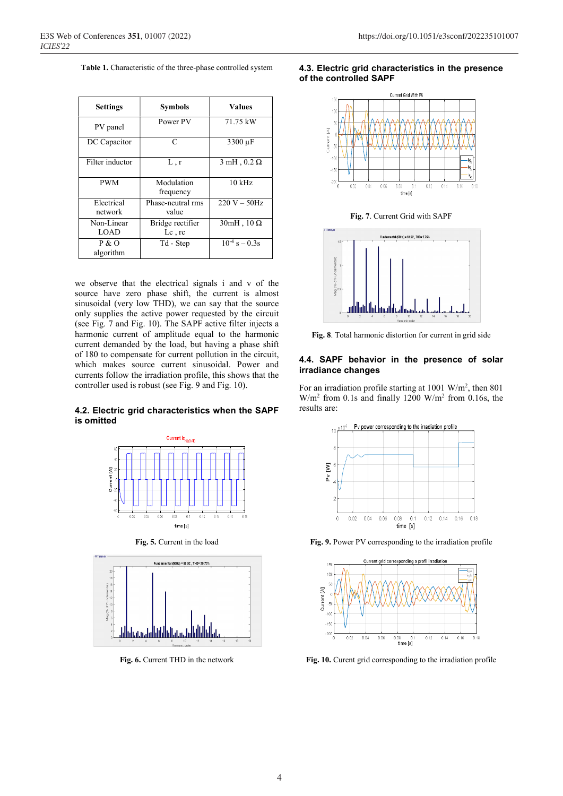**Table 1.** Characteristic of the three-phase controlled system

| <b>Settings</b>       | <b>Symbols</b>                | <b>Values</b>          |
|-----------------------|-------------------------------|------------------------|
| PV panel              | Power PV                      | 71.75 kW               |
| DC Capacitor          | C                             | 3300 µF                |
| Filter inductor       | L, r                          | $3$ mH, $0.2$ $\Omega$ |
| <b>PWM</b>            | Modulation<br>frequency       | $10 \text{ kHz}$       |
| Electrical<br>network | Phase-neutral rms<br>value    | $220 V - 50 Hz$        |
| Non-Linear<br>LOAD    | Bridge rectifier<br>$Lc$ , rc | $30mH$ , $10\Omega$    |
| P & O<br>algorithm    | Td - Step                     | $10^{-4}$ s $- 0.3$ s  |

we observe that the electrical signals i and v of the source have zero phase shift, the current is almost sinusoidal (very low THD), we can say that the source only supplies the active power requested by the circuit (see Fig. 7 and Fig. 10). The SAPF active filter injects a harmonic current of amplitude equal to the harmonic current demanded by the load, but having a phase shift of 180 to compensate for current pollution in the circuit, which makes source current sinusoidal. Power and currents follow the irradiation profile, this shows that the controller used is robust (see Fig. 9 and Fig. 10).

## **4.2. Electric grid characteristics when the SAPF is omitted**



**Fig. 5.** Current in the load



**Fig. 6.** Current THD in the network

#### **4.3. Electric grid characteristics in the presence of the controlled SAPF**



**Fig. 7**. Current Grid with SAPF



**Fig. 8**. Total harmonic distortion for current in grid side

#### **4.4. SAPF behavior in the presence of solar irradiance changes**

For an irradiation profile starting at 1001 W/m<sup>2</sup>, then 801  $W/m<sup>2</sup>$  from 0.1s and finally 1200  $W/m<sup>2</sup>$  from 0.16s, the results are:



**Fig. 9.** Power PV corresponding to the irradiation profile



**Fig. 10.** Curent grid corresponding to the irradiation profile